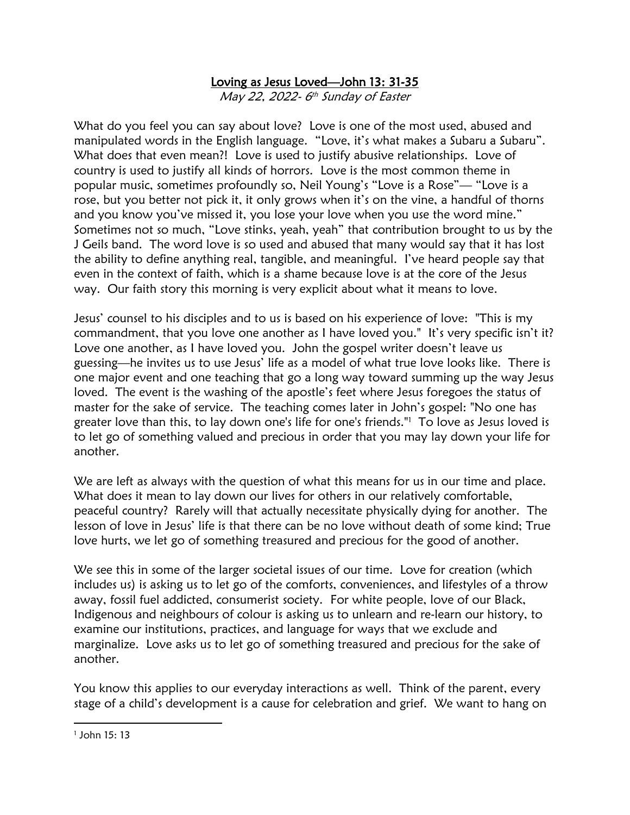## Loving as Jesus Loved—John 13: 31-35

May 22, 2022- 6 th Sunday of Easter

What do you feel you can say about love? Love is one of the most used, abused and manipulated words in the English language. "Love, it's what makes a Subaru a Subaru". What does that even mean?! Love is used to justify abusive relationships. Love of country is used to justify all kinds of horrors. Love is the most common theme in popular music, sometimes profoundly so, Neil Young's "Love is a Rose"— "Love is a rose, but you better not pick it, it only grows when it's on the vine, a handful of thorns and you know you've missed it, you lose your love when you use the word mine." Sometimes not so much, "Love stinks, yeah, yeah" that contribution brought to us by the J Geils band. The word love is so used and abused that many would say that it has lost the ability to define anything real, tangible, and meaningful. I've heard people say that even in the context of faith, which is a shame because love is at the core of the Jesus way. Our faith story this morning is very explicit about what it means to love.

Jesus' counsel to his disciples and to us is based on his experience of love: "This is my commandment, that you love one another as I have loved you." It's very specific isn't it? Love one another, as I have loved you. John the gospel writer doesn't leave us guessing—he invites us to use Jesus' life as a model of what true love looks like. There is one major event and one teaching that go a long way toward summing up the way Jesus loved. The event is the washing of the apostle's feet where Jesus foregoes the status of master for the sake of service. The teaching comes later in John's gospel: "No one has greater love than this, to lay down one's life for one's friends."<sup>1</sup> To love as Jesus loved is to let go of something valued and precious in order that you may lay down your life for another.

We are left as always with the question of what this means for us in our time and place. What does it mean to lay down our lives for others in our relatively comfortable, peaceful country? Rarely will that actually necessitate physically dying for another. The lesson of love in Jesus' life is that there can be no love without death of some kind; True love hurts, we let go of something treasured and precious for the good of another.

We see this in some of the larger societal issues of our time. Love for creation (which includes us) is asking us to let go of the comforts, conveniences, and lifestyles of a throw away, fossil fuel addicted, consumerist society. For white people, love of our Black, Indigenous and neighbours of colour is asking us to unlearn and re-learn our history, to examine our institutions, practices, and language for ways that we exclude and marginalize. Love asks us to let go of something treasured and precious for the sake of another.

You know this applies to our everyday interactions as well. Think of the parent, every stage of a child's development is a cause for celebration and grief. We want to hang on

<sup>1</sup> John 15: 13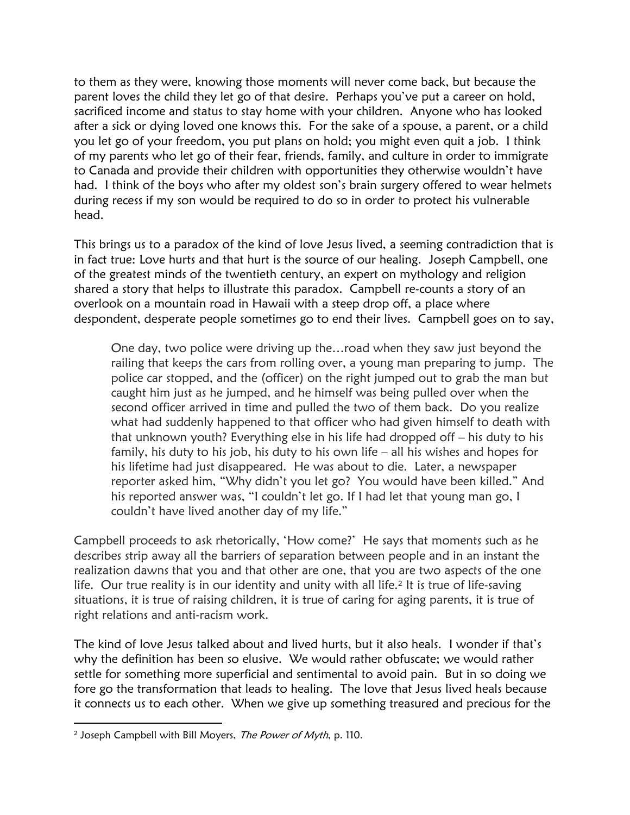to them as they were, knowing those moments will never come back, but because the parent loves the child they let go of that desire. Perhaps you've put a career on hold, sacrificed income and status to stay home with your children. Anyone who has looked after a sick or dying loved one knows this. For the sake of a spouse, a parent, or a child you let go of your freedom, you put plans on hold; you might even quit a job. I think of my parents who let go of their fear, friends, family, and culture in order to immigrate to Canada and provide their children with opportunities they otherwise wouldn't have had. I think of the boys who after my oldest son's brain surgery offered to wear helmets during recess if my son would be required to do so in order to protect his vulnerable head.

This brings us to a paradox of the kind of love Jesus lived, a seeming contradiction that is in fact true: Love hurts and that hurt is the source of our healing. Joseph Campbell, one of the greatest minds of the twentieth century, an expert on mythology and religion shared a story that helps to illustrate this paradox. Campbell re-counts a story of an overlook on a mountain road in Hawaii with a steep drop off, a place where despondent, desperate people sometimes go to end their lives. Campbell goes on to say,

One day, two police were driving up the…road when they saw just beyond the railing that keeps the cars from rolling over, a young man preparing to jump. The police car stopped, and the (officer) on the right jumped out to grab the man but caught him just as he jumped, and he himself was being pulled over when the second officer arrived in time and pulled the two of them back. Do you realize what had suddenly happened to that officer who had given himself to death with that unknown youth? Everything else in his life had dropped off – his duty to his family, his duty to his job, his duty to his own life – all his wishes and hopes for his lifetime had just disappeared. He was about to die. Later, a newspaper reporter asked him, "Why didn't you let go? You would have been killed." And his reported answer was, "I couldn't let go. If I had let that young man go, I couldn't have lived another day of my life."

Campbell proceeds to ask rhetorically, 'How come?' He says that moments such as he describes strip away all the barriers of separation between people and in an instant the realization dawns that you and that other are one, that you are two aspects of the one life. Our true reality is in our identity and unity with all life.<sup>2</sup> It is true of life-saving situations, it is true of raising children, it is true of caring for aging parents, it is true of right relations and anti-racism work.

The kind of love Jesus talked about and lived hurts, but it also heals. I wonder if that's why the definition has been so elusive. We would rather obfuscate; we would rather settle for something more superficial and sentimental to avoid pain. But in so doing we fore go the transformation that leads to healing. The love that Jesus lived heals because it connects us to each other. When we give up something treasured and precious for the

<sup>&</sup>lt;sup>2</sup> Joseph Campbell with Bill Moyers, *The Power of Myth*, p. 110.